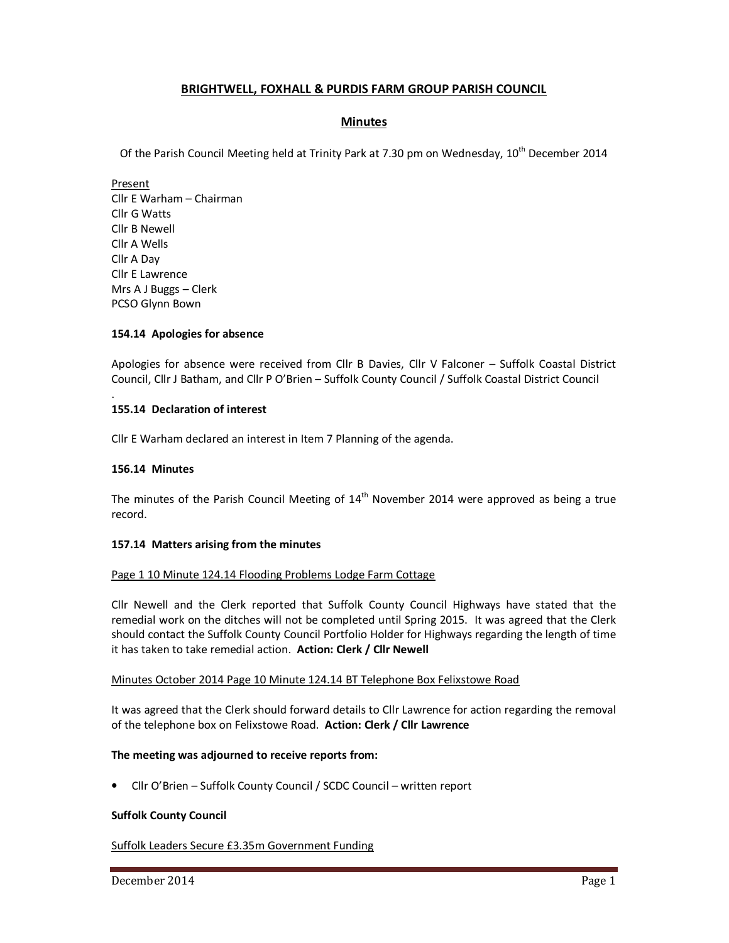# **BRIGHTWELL, FOXHALL & PURDIS FARM GROUP PARISH COUNCIL**

## **Minutes**

Of the Parish Council Meeting held at Trinity Park at 7.30 pm on Wednesday, 10<sup>th</sup> December 2014

Present Cllr E Warham – Chairman Cllr G Watts Cllr B Newell Cllr A Wells Cllr A Day Cllr E Lawrence Mrs A J Buggs – Clerk PCSO Glynn Bown

### **154.14 Apologies for absence**

Apologies for absence were received from Cllr B Davies, Cllr V Falconer – Suffolk Coastal District Council, Cllr J Batham, and Cllr P O'Brien – Suffolk County Council / Suffolk Coastal District Council

## **155.14 Declaration of interest**

Cllr E Warham declared an interest in Item 7 Planning of the agenda.

### **156.14 Minutes**

.

The minutes of the Parish Council Meeting of  $14<sup>th</sup>$  November 2014 were approved as being a true record.

#### **157.14 Matters arising from the minutes**

#### Page 1 10 Minute 124.14 Flooding Problems Lodge Farm Cottage

Cllr Newell and the Clerk reported that Suffolk County Council Highways have stated that the remedial work on the ditches will not be completed until Spring 2015. It was agreed that the Clerk should contact the Suffolk County Council Portfolio Holder for Highways regarding the length of time it has taken to take remedial action. **Action: Clerk / Cllr Newell**

#### Minutes October 2014 Page 10 Minute 124.14 BT Telephone Box Felixstowe Road

It was agreed that the Clerk should forward details to Cllr Lawrence for action regarding the removal of the telephone box on Felixstowe Road. **Action: Clerk / Cllr Lawrence** 

#### **The meeting was adjourned to receive reports from:**

• Cllr O'Brien – Suffolk County Council / SCDC Council – written report

#### **Suffolk County Council**

## Suffolk Leaders Secure £3.35m Government Funding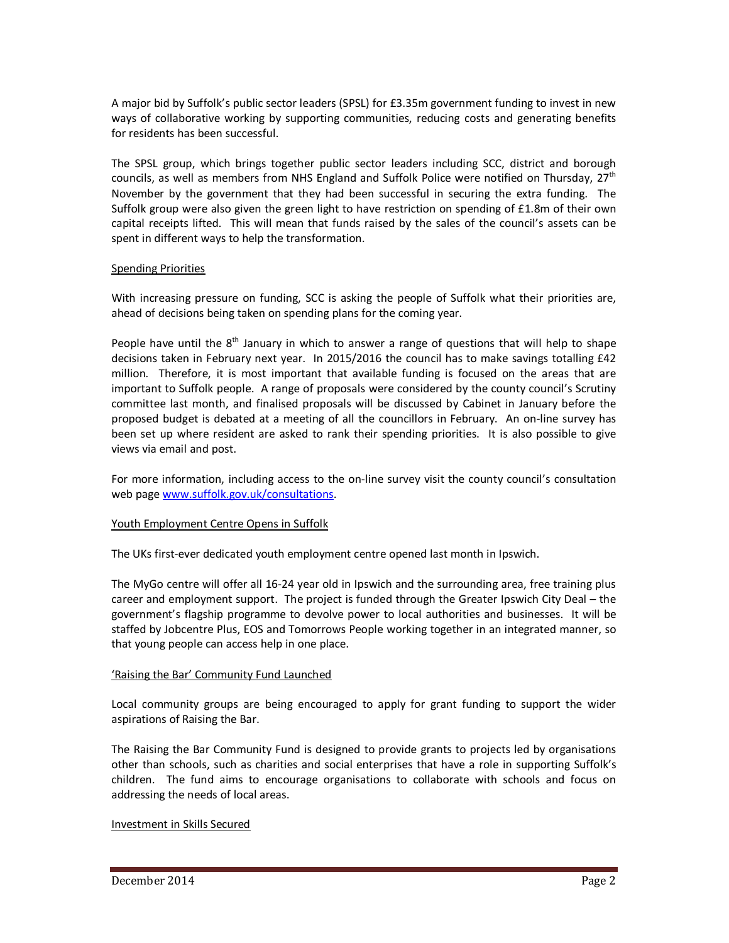A major bid by Suffolk's public sector leaders (SPSL) for £3.35m government funding to invest in new ways of collaborative working by supporting communities, reducing costs and generating benefits for residents has been successful.

The SPSL group, which brings together public sector leaders including SCC, district and borough councils, as well as members from NHS England and Suffolk Police were notified on Thursday,  $27<sup>th</sup>$ November by the government that they had been successful in securing the extra funding. The Suffolk group were also given the green light to have restriction on spending of £1.8m of their own capital receipts lifted. This will mean that funds raised by the sales of the council's assets can be spent in different ways to help the transformation.

### Spending Priorities

With increasing pressure on funding, SCC is asking the people of Suffolk what their priorities are, ahead of decisions being taken on spending plans for the coming year.

People have until the  $8<sup>th</sup>$  January in which to answer a range of questions that will help to shape decisions taken in February next year. In 2015/2016 the council has to make savings totalling £42 million. Therefore, it is most important that available funding is focused on the areas that are important to Suffolk people. A range of proposals were considered by the county council's Scrutiny committee last month, and finalised proposals will be discussed by Cabinet in January before the proposed budget is debated at a meeting of all the councillors in February. An on-line survey has been set up where resident are asked to rank their spending priorities. It is also possible to give views via email and post.

For more information, including access to the on-line survey visit the county council's consultation web page www.suffolk.gov.uk/consultations.

#### Youth Employment Centre Opens in Suffolk

The UKs first-ever dedicated youth employment centre opened last month in Ipswich.

The MyGo centre will offer all 16-24 year old in Ipswich and the surrounding area, free training plus career and employment support. The project is funded through the Greater Ipswich City Deal – the government's flagship programme to devolve power to local authorities and businesses. It will be staffed by Jobcentre Plus, EOS and Tomorrows People working together in an integrated manner, so that young people can access help in one place.

#### 'Raising the Bar' Community Fund Launched

Local community groups are being encouraged to apply for grant funding to support the wider aspirations of Raising the Bar.

The Raising the Bar Community Fund is designed to provide grants to projects led by organisations other than schools, such as charities and social enterprises that have a role in supporting Suffolk's children. The fund aims to encourage organisations to collaborate with schools and focus on addressing the needs of local areas.

#### Investment in Skills Secured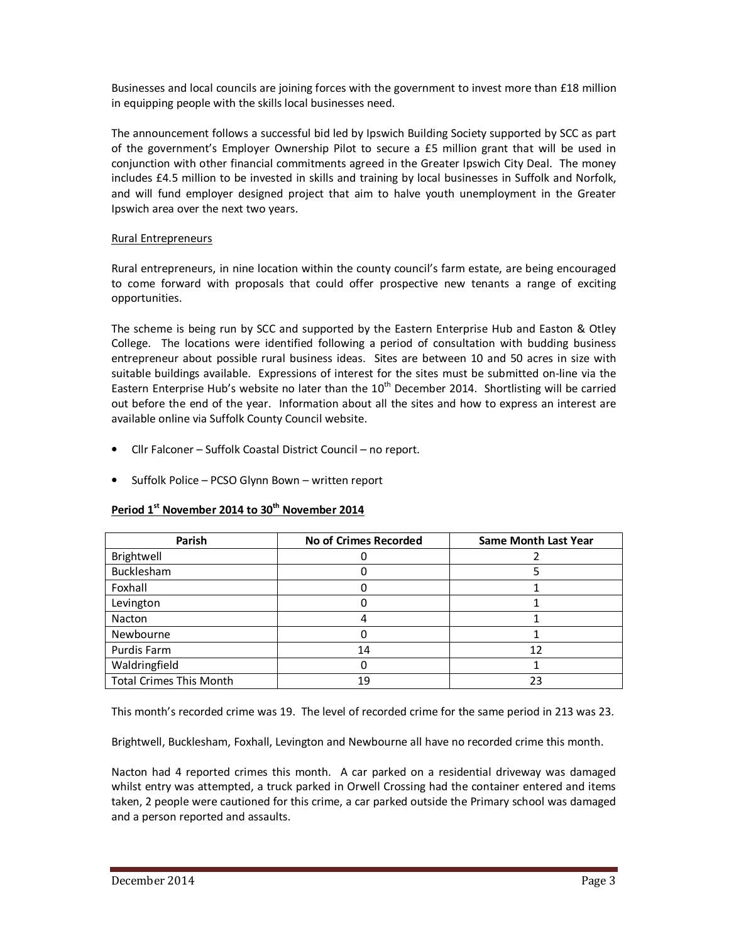Businesses and local councils are joining forces with the government to invest more than £18 million in equipping people with the skills local businesses need.

The announcement follows a successful bid led by Ipswich Building Society supported by SCC as part of the government's Employer Ownership Pilot to secure a £5 million grant that will be used in conjunction with other financial commitments agreed in the Greater Ipswich City Deal. The money includes £4.5 million to be invested in skills and training by local businesses in Suffolk and Norfolk, and will fund employer designed project that aim to halve youth unemployment in the Greater Ipswich area over the next two years.

## Rural Entrepreneurs

Rural entrepreneurs, in nine location within the county council's farm estate, are being encouraged to come forward with proposals that could offer prospective new tenants a range of exciting opportunities.

The scheme is being run by SCC and supported by the Eastern Enterprise Hub and Easton & Otley College. The locations were identified following a period of consultation with budding business entrepreneur about possible rural business ideas. Sites are between 10 and 50 acres in size with suitable buildings available. Expressions of interest for the sites must be submitted on-line via the Eastern Enterprise Hub's website no later than the  $10<sup>th</sup>$  December 2014. Shortlisting will be carried out before the end of the year. Information about all the sites and how to express an interest are available online via Suffolk County Council website.

- Cllr Falconer Suffolk Coastal District Council no report.
- Suffolk Police PCSO Glynn Bown written report

## **Period 1st November 2014 to 30th November 2014**

| <b>Parish</b>                  | <b>No of Crimes Recorded</b> | <b>Same Month Last Year</b> |
|--------------------------------|------------------------------|-----------------------------|
| Brightwell                     |                              |                             |
| Bucklesham                     |                              |                             |
| Foxhall                        |                              |                             |
| Levington                      |                              |                             |
| <b>Nacton</b>                  |                              |                             |
| Newbourne                      |                              |                             |
| Purdis Farm                    | 14                           | 12                          |
| Waldringfield                  |                              |                             |
| <b>Total Crimes This Month</b> | 19                           | 23                          |

This month's recorded crime was 19. The level of recorded crime for the same period in 213 was 23.

Brightwell, Bucklesham, Foxhall, Levington and Newbourne all have no recorded crime this month.

Nacton had 4 reported crimes this month. A car parked on a residential driveway was damaged whilst entry was attempted, a truck parked in Orwell Crossing had the container entered and items taken, 2 people were cautioned for this crime, a car parked outside the Primary school was damaged and a person reported and assaults.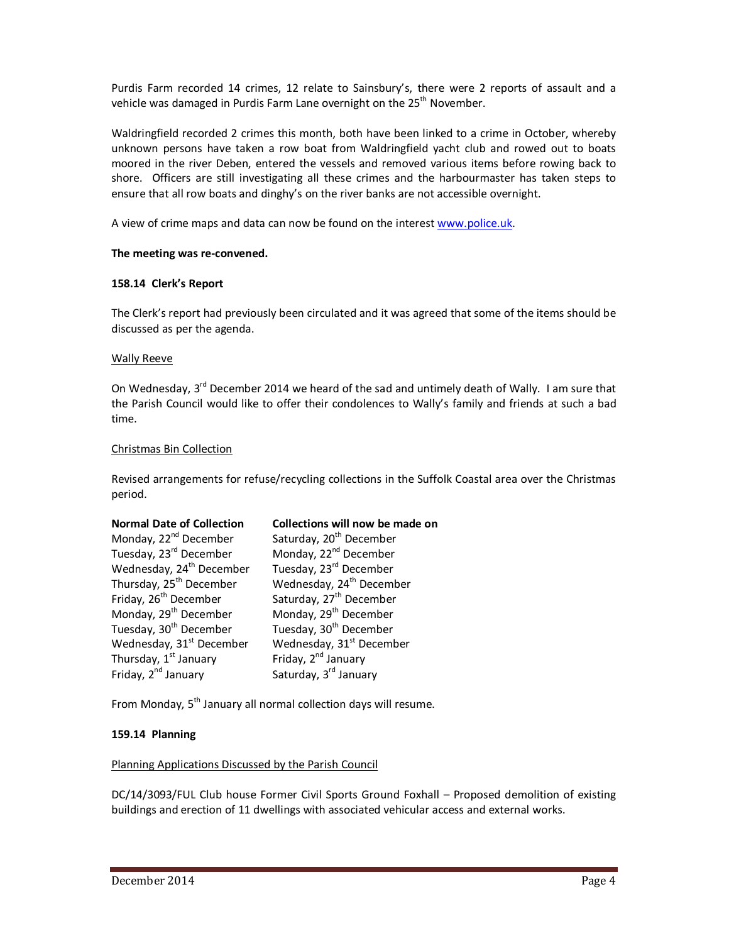Purdis Farm recorded 14 crimes, 12 relate to Sainsbury's, there were 2 reports of assault and a vehicle was damaged in Purdis Farm Lane overnight on the 25<sup>th</sup> November.

Waldringfield recorded 2 crimes this month, both have been linked to a crime in October, whereby unknown persons have taken a row boat from Waldringfield yacht club and rowed out to boats moored in the river Deben, entered the vessels and removed various items before rowing back to shore. Officers are still investigating all these crimes and the harbourmaster has taken steps to ensure that all row boats and dinghy's on the river banks are not accessible overnight.

A view of crime maps and data can now be found on the interest www.police.uk.

#### **The meeting was re-convened.**

#### **158.14 Clerk's Report**

The Clerk's report had previously been circulated and it was agreed that some of the items should be discussed as per the agenda.

### Wally Reeve

On Wednesday, 3<sup>rd</sup> December 2014 we heard of the sad and untimely death of Wally. I am sure that the Parish Council would like to offer their condolences to Wally's family and friends at such a bad time.

### Christmas Bin Collection

Revised arrangements for refuse/recycling collections in the Suffolk Coastal area over the Christmas period.

| Collections will now be made on      |
|--------------------------------------|
| Saturday, 20 <sup>th</sup> December  |
| Monday, 22 <sup>nd</sup> December    |
| Tuesday, 23 <sup>rd</sup> December   |
| Wednesday, 24 <sup>th</sup> December |
| Saturday, 27 <sup>th</sup> December  |
| Monday, 29 <sup>th</sup> December    |
| Tuesday, 30 <sup>th</sup> December   |
| Wednesday, 31 <sup>st</sup> December |
| Friday, 2 <sup>nd</sup> January      |
| Saturday, 3rd January                |
|                                      |

From Monday,  $5<sup>th</sup>$  January all normal collection days will resume.

#### **159.14 Planning**

## Planning Applications Discussed by the Parish Council

DC/14/3093/FUL Club house Former Civil Sports Ground Foxhall – Proposed demolition of existing buildings and erection of 11 dwellings with associated vehicular access and external works.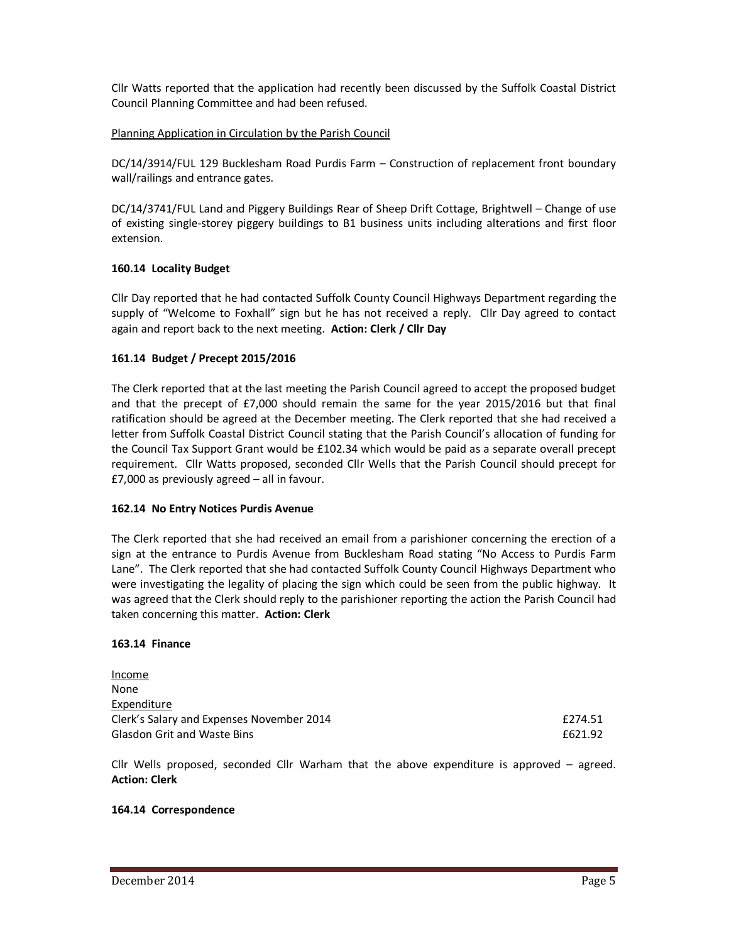Cllr Watts reported that the application had recently been discussed by the Suffolk Coastal District Council Planning Committee and had been refused.

### Planning Application in Circulation by the Parish Council

DC/14/3914/FUL 129 Bucklesham Road Purdis Farm – Construction of replacement front boundary wall/railings and entrance gates.

DC/14/3741/FUL Land and Piggery Buildings Rear of Sheep Drift Cottage, Brightwell – Change of use of existing single-storey piggery buildings to B1 business units including alterations and first floor extension.

### **160.14 Locality Budget**

Cllr Day reported that he had contacted Suffolk County Council Highways Department regarding the supply of "Welcome to Foxhall" sign but he has not received a reply. Cllr Day agreed to contact again and report back to the next meeting. **Action: Clerk / Cllr Day** 

### **161.14 Budget / Precept 2015/2016**

The Clerk reported that at the last meeting the Parish Council agreed to accept the proposed budget and that the precept of £7,000 should remain the same for the year 2015/2016 but that final ratification should be agreed at the December meeting. The Clerk reported that she had received a letter from Suffolk Coastal District Council stating that the Parish Council's allocation of funding for the Council Tax Support Grant would be £102.34 which would be paid as a separate overall precept requirement. Cllr Watts proposed, seconded Cllr Wells that the Parish Council should precept for £7,000 as previously agreed – all in favour.

#### **162.14 No Entry Notices Purdis Avenue**

The Clerk reported that she had received an email from a parishioner concerning the erection of a sign at the entrance to Purdis Avenue from Bucklesham Road stating "No Access to Purdis Farm Lane". The Clerk reported that she had contacted Suffolk County Council Highways Department who were investigating the legality of placing the sign which could be seen from the public highway. It was agreed that the Clerk should reply to the parishioner reporting the action the Parish Council had taken concerning this matter. **Action: Clerk** 

#### **163.14 Finance**

| Income                                    |         |
|-------------------------------------------|---------|
| None                                      |         |
| Expenditure                               |         |
| Clerk's Salary and Expenses November 2014 | f274.51 |
| <b>Glasdon Grit and Waste Bins</b>        | £621.92 |

Cllr Wells proposed, seconded Cllr Warham that the above expenditure is approved – agreed. **Action: Clerk** 

#### **164.14 Correspondence**